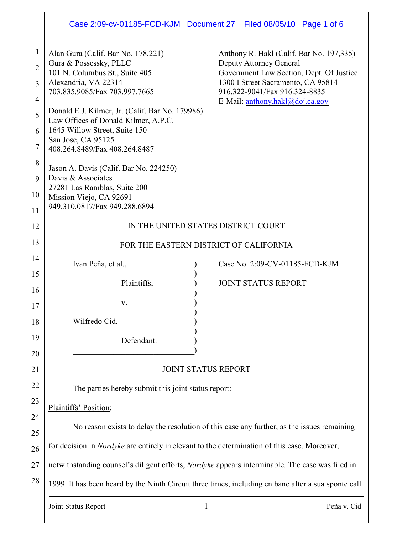# Case 2:09-cv-01185-FCD-KJM Document 27 Filed 08/05/10 Page 1 of 6

| $\mathbf{1}$   | Alan Gura (Calif. Bar No. 178,221)<br>Gura & Possessky, PLLC                                        | Anthony R. Hakl (Calif. Bar No. 197,335)<br>Deputy Attorney General                        |
|----------------|-----------------------------------------------------------------------------------------------------|--------------------------------------------------------------------------------------------|
| $\overline{2}$ | 101 N. Columbus St., Suite 405                                                                      | Government Law Section, Dept. Of Justice                                                   |
| 3<br>4         | Alexandria, VA 22314<br>703.835.9085/Fax 703.997.7665                                               | 1300 I Street Sacramento, CA 95814<br>916.322-9041/Fax 916.324-8835                        |
| 5              | Donald E.J. Kilmer, Jr. (Calif. Bar No. 179986)                                                     | E-Mail: anthony.hakl@doj.ca.gov                                                            |
| 6              | Law Offices of Donald Kilmer, A.P.C.<br>1645 Willow Street, Suite 150                               |                                                                                            |
| 7              | San Jose, CA 95125<br>408.264.8489/Fax 408.264.8487                                                 |                                                                                            |
| 8              | Jason A. Davis (Calif. Bar No. 224250)                                                              |                                                                                            |
| 9              | Davis & Associates                                                                                  |                                                                                            |
| 10             | 27281 Las Ramblas, Suite 200<br>Mission Viejo, CA 92691                                             |                                                                                            |
| 11             | 949.310.0817/Fax 949.288.6894                                                                       |                                                                                            |
| 12             | IN THE UNITED STATES DISTRICT COURT                                                                 |                                                                                            |
| 13             | FOR THE EASTERN DISTRICT OF CALIFORNIA                                                              |                                                                                            |
| 14             | Ivan Peña, et al.,                                                                                  | Case No. 2:09-CV-01185-FCD-KJM                                                             |
| 15             | Plaintiffs,                                                                                         | <b>JOINT STATUS REPORT</b>                                                                 |
| 16             |                                                                                                     |                                                                                            |
| 17             | V.                                                                                                  |                                                                                            |
| 18             | Wilfredo Cid,                                                                                       |                                                                                            |
| 19             | Defendant.                                                                                          |                                                                                            |
| 20             |                                                                                                     |                                                                                            |
| 21             | <b>JOINT STATUS REPORT</b>                                                                          |                                                                                            |
| 22             | The parties hereby submit this joint status report:                                                 |                                                                                            |
| 23             | Plaintiffs' Position:                                                                               |                                                                                            |
| 24             |                                                                                                     | No reason exists to delay the resolution of this case any further, as the issues remaining |
| 25             |                                                                                                     |                                                                                            |
| 26             | for decision in <i>Nordyke</i> are entirely irrelevant to the determination of this case. Moreover, |                                                                                            |
| 27             | notwithstanding counsel's diligent efforts, Nordyke appears interminable. The case was filed in     |                                                                                            |
| 28             | 1999. It has been heard by the Ninth Circuit three times, including en banc after a sua sponte call |                                                                                            |
|                | Joint Status Report                                                                                 | $\mathbf{1}$<br>Peña v. Cid                                                                |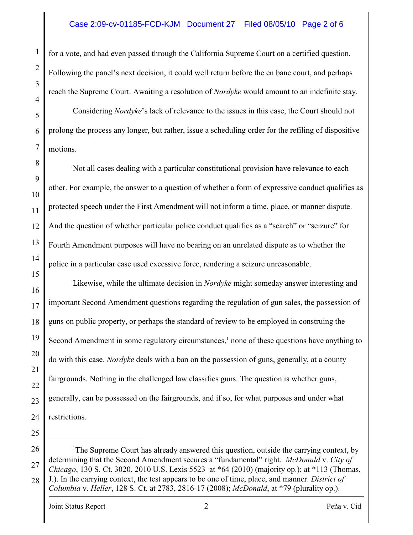## Case 2:09-cv-01185-FCD-KJM Document 27 Filed 08/05/10 Page 2 of 6

for a vote, and had even passed through the California Supreme Court on a certified question. Following the panel's next decision, it could well return before the en banc court, and perhaps reach the Supreme Court. Awaiting a resolution of *Nordyke* would amount to an indefinite stay.

5 6 7 Considering *Nordyke*'s lack of relevance to the issues in this case, the Court should not prolong the process any longer, but rather, issue a scheduling order for the refiling of dispositive motions.

Not all cases dealing with a particular constitutional provision have relevance to each other. For example, the answer to a question of whether a form of expressive conduct qualifies as protected speech under the First Amendment will not inform a time, place, or manner dispute. And the question of whether particular police conduct qualifies as a "search" or "seizure" for Fourth Amendment purposes will have no bearing on an unrelated dispute as to whether the police in a particular case used excessive force, rendering a seizure unreasonable.

15 16 17 18 19 20 21 22 23 24 Likewise, while the ultimate decision in *Nordyke* might someday answer interesting and important Second Amendment questions regarding the regulation of gun sales, the possession of guns on public property, or perhaps the standard of review to be employed in construing the Second Amendment in some regulatory circumstances, $<sup>1</sup>$  none of these questions have anything to</sup> do with this case. *Nordyke* deals with a ban on the possession of guns, generally, at a county fairgrounds. Nothing in the challenged law classifies guns. The question is whether guns, generally, can be possessed on the fairgrounds, and if so, for what purposes and under what restrictions.

26 27 28 <sup>1</sup>The Supreme Court has already answered this question, outside the carrying context, by determining that the Second Amendment secures a "fundamental" right. *McDonald* v. *City of Chicago*, 130 S. Ct. 3020, 2010 U.S. Lexis 5523 at \*64 (2010) (majority op.); at \*113 (Thomas, J.). In the carrying context, the test appears to be one of time, place, and manner. *District of Columbia* v. *Heller*, 128 S. Ct. at 2783, 2816-17 (2008); *McDonald*, at \*79 (plurality op.).

1

2

3

4

8

9

10

11

12

13

14

25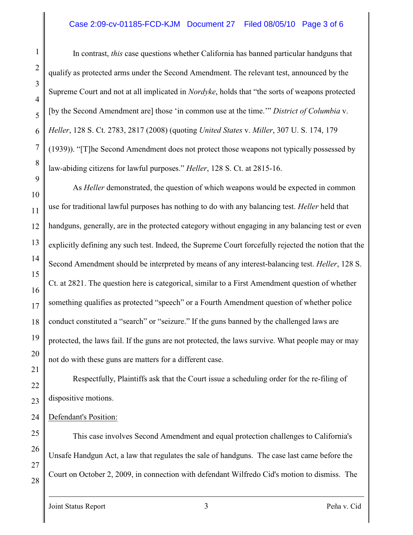#### Case 2:09-cv-01185-FCD-KJM Document 27 Filed 08/05/10 Page 3 of 6

In contrast, *this* case questions whether California has banned particular handguns that qualify as protected arms under the Second Amendment. The relevant test, announced by the Supreme Court and not at all implicated in *Nordyke*, holds that "the sorts of weapons protected [by the Second Amendment are] those 'in common use at the time.'" *District of Columbia* v. *Heller*, 128 S. Ct. 2783, 2817 (2008) (quoting *United States* v. *Miller*, 307 U. S. 174, 179 (1939)). "[T]he Second Amendment does not protect those weapons not typically possessed by law-abiding citizens for lawful purposes." *Heller*, 128 S. Ct. at 2815-16.

As *Heller* demonstrated, the question of which weapons would be expected in common use for traditional lawful purposes has nothing to do with any balancing test. *Heller* held that handguns, generally, are in the protected category without engaging in any balancing test or even explicitly defining any such test. Indeed, the Supreme Court forcefully rejected the notion that the Second Amendment should be interpreted by means of any interest-balancing test. *Heller*, 128 S. Ct. at 2821. The question here is categorical, similar to a First Amendment question of whether something qualifies as protected "speech" or a Fourth Amendment question of whether police conduct constituted a "search" or "seizure." If the guns banned by the challenged laws are protected, the laws fail. If the guns are not protected, the laws survive. What people may or may not do with these guns are matters for a different case.

Respectfully, Plaintiffs ask that the Court issue a scheduling order for the re-filing of dispositive motions.

Defendant's Position:

This case involves Second Amendment and equal protection challenges to California's Unsafe Handgun Act, a law that regulates the sale of handguns. The case last came before the Court on October 2, 2009, in connection with defendant Wilfredo Cid's motion to dismiss. The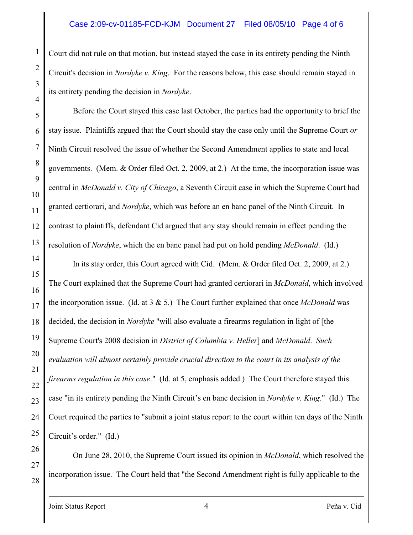Court did not rule on that motion, but instead stayed the case in its entirety pending the Ninth Circuit's decision in *Nordyke v. King*. For the reasons below, this case should remain stayed in its entirety pending the decision in *Nordyke*.

Before the Court stayed this case last October, the parties had the opportunity to brief the stay issue. Plaintiffs argued that the Court should stay the case only until the Supreme Court *or* Ninth Circuit resolved the issue of whether the Second Amendment applies to state and local governments. (Mem. & Order filed Oct. 2, 2009, at 2.) At the time, the incorporation issue was central in *McDonald v. City of Chicago*, a Seventh Circuit case in which the Supreme Court had granted certiorari, and *Nordyke*, which was before an en banc panel of the Ninth Circuit. In contrast to plaintiffs, defendant Cid argued that any stay should remain in effect pending the resolution of *Nordyke*, which the en banc panel had put on hold pending *McDonald*. (Id.)

In its stay order, this Court agreed with Cid. (Mem. & Order filed Oct. 2, 2009, at 2.) The Court explained that the Supreme Court had granted certiorari in *McDonald*, which involved the incorporation issue. (Id. at 3 & 5.) The Court further explained that once *McDonald* was decided, the decision in *Nordyke* "will also evaluate a firearms regulation in light of [the Supreme Court's 2008 decision in *District of Columbia v. Heller*] and *McDonald*. *Such evaluation will almost certainly provide crucial direction to the court in its analysis of the firearms regulation in this case*." (Id. at 5, emphasis added.) The Court therefore stayed this case "in its entirety pending the Ninth Circuit's en banc decision in *Nordyke v. King*." (Id.) The Court required the parties to "submit a joint status report to the court within ten days of the Ninth Circuit's order." (Id.)

On June 28, 2010, the Supreme Court issued its opinion in *McDonald*, which resolved the incorporation issue. The Court held that "the Second Amendment right is fully applicable to the

1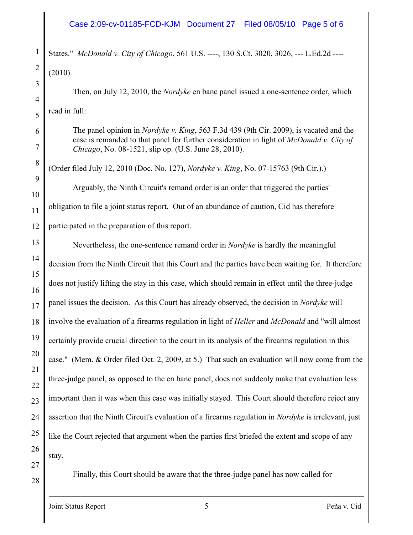### Case 2:09-cv-01185-FCD-KJM Document 27 Filed 08/05/10 Page 5 of 6

States." *McDonald v. City of Chicago*, 561 U.S. ----, 130 S.Ct. 3020, 3026, --- L.Ed.2d ---- (2010).

Then, on July 12, 2010, the *Nordyke* en banc panel issued a one-sentence order, which read in full:

The panel opinion in *Nordyke v. King*, 563 F.3d 439 (9th Cir. 2009), is vacated and the case is remanded to that panel for further consideration in light of *McDonald v. City of Chicago*, No. 08-1521, slip op. (U.S. June 28, 2010).

(Order filed July 12, 2010 (Doc. No. 127), *Nordyke v. King*, No. 07-15763 (9th Cir.).) Arguably, the Ninth Circuit's remand order is an order that triggered the parties' obligation to file a joint status report. Out of an abundance of caution, Cid has therefore participated in the preparation of this report.

13 Nevertheless, the one-sentence remand order in *Nordyke* is hardly the meaningful decision from the Ninth Circuit that this Court and the parties have been waiting for. It therefore does not justify lifting the stay in this case, which should remain in effect until the three-judge panel issues the decision. As this Court has already observed, the decision in *Nordyke* will involve the evaluation of a firearms regulation in light of *Heller* and *McDonald* and "will almost certainly provide crucial direction to the court in its analysis of the firearms regulation in this case." (Mem. & Order filed Oct. 2, 2009, at 5.) That such an evaluation will now come from the three-judge panel, as opposed to the en banc panel, does not suddenly make that evaluation less important than it was when this case was initially stayed. This Court should therefore reject any assertion that the Ninth Circuit's evaluation of a firearms regulation in *Nordyke* is irrelevant, just like the Court rejected that argument when the parties first briefed the extent and scope of any stay.

Finally, this Court should be aware that the three-judge panel has now called for

28

1

2

3

4

5

6

7

8

9

10

11

12

14

15

16

17

18

19

20

21

22

23

24

25

26

27